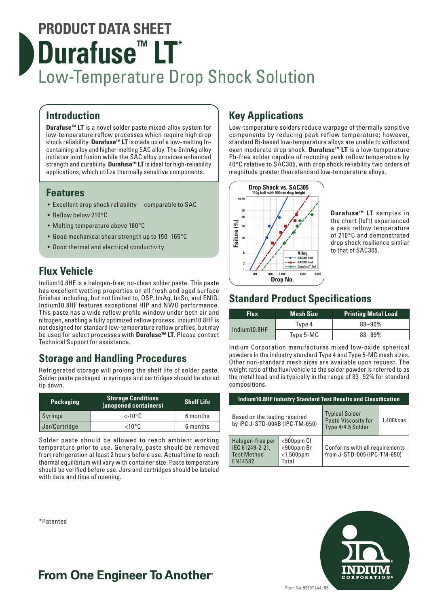# **PRODUCT DATA SHEET Durafuse<sup>™</sup> LT<sup>\*</sup>** Low-Temperature Drop Shock Solution

### **Introduction**

**Durafuse™ LT** is a novel solder paste mixed-alloy system for low-temperature reflow processes which require high drop shock reliability. **Durafuse™ LT** is made up of a low-melting Incontaining alloy and higher-melting SAC alloy. The SnInAg alloy initiates joint fusion while the SAC alloy provides enhanced strength and durability. **Durafuse™ LT** is ideal for high-reliability applications, which utilize thermally sensitive components.

### **Features**

- Excellent drop shock reliability—comparable to SAC
- Reflow below 210°C
- Melting temperature above 180°C
- Good mechanical shear strength up to 150–165°C
- Good thermal and electrical conductivity

### **Flux Vehicle**

Indium10.8HF is a halogen-free, no-clean solder paste. This paste has excellent wetting properties on all fresh and aged surface finishes including, but not limited to, OSP, ImAg, ImSn, and ENIG. Indium10.8HF features exceptional HIP and NWO performance. This paste has a wide reflow profile window under both air and nitrogen, enabling a fully optimized reflow process. Indium10.8HF is not designed for standard low-temperature reflow profiles, but may be used for select processes with **Durafuse™ LT**. Please contact Technical Support for assistance.

### **Storage and Handling Procedures**

Refrigerated storage will prolong the shelf life of solder paste. Solder paste packaged in syringes and cartridges should be stored tip down.

| <b>Packaging</b> | <b>Storage Conditions</b><br>(unopened containers) | <b>Shelf Life</b> |  |
|------------------|----------------------------------------------------|-------------------|--|
| Syringe          | $\lt$ -10°C                                        | 6 months          |  |
| Jar/Cartridge    | 6 months<br>$<$ 10°C                               |                   |  |

Solder paste should be allowed to reach ambient working temperature prior to use. Generally, paste should be removed from refrigeration at least 2 hours before use. Actual time to reach thermal equilibrium will vary with container size. Paste temperature should be verified before use. Jars and cartridges should be labeled with date and time of opening.

#### \*Patented

## **Key Applications**

Low-temperature solders reduce warpage of thermally sensitive components by reducing peak reflow temperature; however, standard Bi-based low-temperature alloys are unable to withstand even moderate drop shock. **Durafuse™ LT** is a low-temperature Pb-free solder capable of reducing peak reflow temperature by 40°C relative to SAC305, with drop shock reliability two orders of magnitude greater than standard low-temperature alloys.



**Durafuse™ LT** samples in the chart (left) experienced a peak reflow temperature of 210°C and demonstrated drop shock resilience similar to that of SAC305.

### **Standard Product Specifications**

| <b>Flux</b>  | <b>Mesh Size</b> | <b>Printing Metal Load</b> |
|--------------|------------------|----------------------------|
| Indium10.8HF | Type 4           | $88 - 90%$                 |
|              | Type 5-MC        | $88 - 89%$                 |

Indium Corporation manufactures mixed low-oxide spherical powders in the industry standard Type 4 and Type 5-MC mesh sizes. Other non-standard mesh sizes are available upon request. The weight ratio of the flux/vehicle to the solder powder is referred to as the metal load and is typically in the range of 83–92% for standard compositions.

| <b>Indium10.8HF Industry Standard Test Results and Classification</b> |                                                            |                                                                   |           |  |  |
|-----------------------------------------------------------------------|------------------------------------------------------------|-------------------------------------------------------------------|-----------|--|--|
| Based on the testing required<br>by IPC J-STD-004B (IPC-TM-650)       |                                                            | <b>Typical Solder</b><br>Paste Viscosity for<br>Type 4/4.5 Solder | 1,400kcps |  |  |
| Halogen-free per<br>IEC 61249-2-21,<br><b>Test Method</b><br>EN14582  | $<$ 900 $ppm$ Cl<br>$<$ 900ppm Br<br>$<$ 1,500ppm<br>Total | Conforms with all requirements<br>from J-STD-005 (IPC-TM-650)     |           |  |  |



## **From One Engineer To Another**®